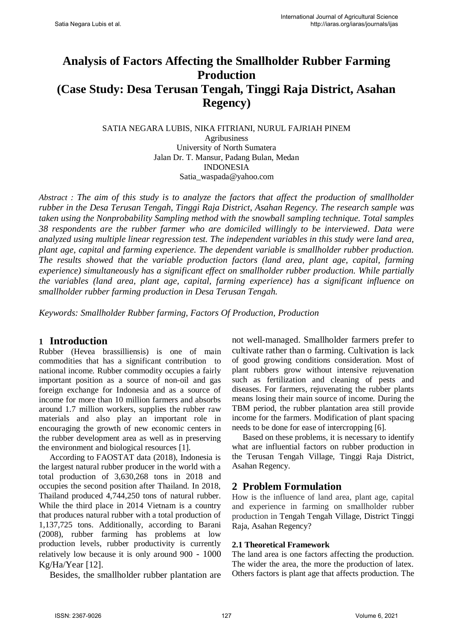# **Analysis of Factors Affecting the Smallholder Rubber Farming Production (Case Study: Desa Terusan Tengah, Tinggi Raja District, Asahan Regency)**

SATIA NEGARA LUBIS, NIKA FITRIANI, NURUL FAJRIAH PINEM Agribusiness University of North Sumatera Jalan Dr. T. Mansur, Padang Bulan, Medan INDONESIA Satia\_waspada@yahoo.com

*Abstract : The aim of this study is to analyze the factors that affect the production of smallholder rubber in the Desa Terusan Tengah, Tinggi Raja District, Asahan Regency. The research sample was taken using the Nonprobability Sampling method with the snowball sampling technique. Total samples 38 respondents are the rubber farmer who are domiciled willingly to be interviewed. Data were analyzed using multiple linear regression test. The independent variables in this study were land area, plant age, capital and farming experience. The dependent variable is smallholder rubber production. The results showed that the variable production factors (land area, plant age, capital, farming experience) simultaneously has a significant effect on smallholder rubber production. While partially the variables (land area, plant age, capital, farming experience) has a significant influence on smallholder rubber farming production in Desa Terusan Tengah.*

*Keywords: Smallholder Rubber farming, Factors Of Production, Production*

# **1 Introduction**

Rubber (Hevea brassilliensis) is one of main commodities that has a significant contribution to national income. Rubber commodity occupies a fairly important position as a source of non-oil and gas foreign exchange for Indonesia and as a source of income for more than 10 million farmers and absorbs around 1.7 million workers, supplies the rubber raw materials and also play an important role in encouraging the growth of new economic centers in the rubber development area as well as in preserving the environment and biological resources [1].

According to FAOSTAT data (2018), Indonesia is the largest natural rubber producer in the world with a total production of 3,630,268 tons in 2018 and occupies the second position after Thailand. In 2018, Thailand produced 4,744,250 tons of natural rubber. While the third place in 2014 Vietnam is a country that produces natural rubber with a total production of 1,137,725 tons. Additionally, according to Barani (2008), rubber farming has problems at low production levels, rubber productivity is currently relatively low because it is only around 900 - 1000 Kg/Ha/Year [12].

Besides, the smallholder rubber plantation are

not well-managed. Smallholder farmers prefer to cultivate rather than o farming. Cultivation is lack of good growing conditions consideration. Most of plant rubbers grow without intensive rejuvenation such as fertilization and cleaning of pests and diseases. For farmers, rejuvenating the rubber plants means losing their main source of income. During the TBM period, the rubber plantation area still provide income for the farmers. Modification of plant spacing needs to be done for ease of intercropping [6].

Based on these problems, it is necessary to identify what are influential factors on rubber production in the Terusan Tengah Village, Tinggi Raja District, Asahan Regency.

# **2 Problem Formulation**

How is the influence of land area, plant age, capital and experience in farming on smallholder rubber production in Tengah Tengah Village, District Tinggi Raja, Asahan Regency?

#### **2.1 Theoretical Framework**

The land area is one factors affecting the production. The wider the area, the more the production of latex. Others factors is plant age that affects production. The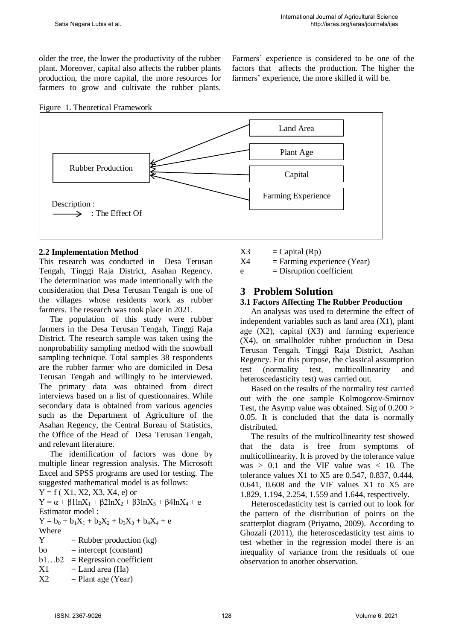older the tree, the lower the productivity of the rubber plant. Moreover, capital also affects the rubber plants production, the more capital, the more resources for farmers to grow and cultivate the rubber plants. Farmers' experience is considered to be one of the factors that affects the production. The higher the farmers' experience, the more skilled it will be.





#### **2.2 Implementation Method**

This research was conducted in Desa Terusan Tengah, Tinggi Raja District, Asahan Regency. The determination was made intentionally with the consideration that Desa Terusan Tengah is one of the villages whose residents work as rubber farmers. The research was took place in 2021.

The population of this study were rubber farmers in the Desa Terusan Tengah, Tinggi Raja District. The research sample was taken using the nonprobability sampling method with the snowball sampling technique. Total samples 38 respondents are the rubber farmer who are domiciled in Desa Terusan Tengah and willingly to be interviewed. The primary data was obtained from direct interviews based on a list of questionnaires. While secondary data is obtained from various agencies such as the Department of Agriculture of the Asahan Regency, the Central Bureau of Statistics, the Office of the Head of Desa Terusan Tengah, and relevant literature.

The identification of factors was done by multiple linear regression analysis. The Microsoft Excel and SPSS programs are used for testing. The suggested mathematical model is as follows:

 $Y = f(X1, X2, X3, X4, e)$  or

 $Y = \alpha + \beta 1 \ln X_1 + \beta 2 \ln X_2 + \beta 3 \ln X_3 + \beta 4 \ln X_4 + e$ Estimator model :

$$
Y = b_0 + b_1 X_1 + b_2 X_2 + b_3 X_3 + b_4 X_4 + e
$$
  
Where

 $Y =$  Rubber production (kg)  $bo$  = intercept (constant)  $b1...b2$  = Regression coefficient  $X1 =$ Land area (Ha)

 $X2 =$  Plant age (Year)

- $X3 = Capital (Rp)$
- $X4 = \text{Farming experience (Year)}$

 $e =$  Disruption coefficient

## **3 Problem Solution**

#### **3.1 Factors Affecting The Rubber Production**

An analysis was used to determine the effect of independent variables such as land area (X1), plant age  $(X2)$ , capital  $(X3)$  and farming experience (X4), on smallholder rubber production in Desa Terusan Tengah, Tinggi Raja District, Asahan Regency. For this purpose, the classical assumption test (normality test, multicollinearity and heteroscedasticity test) was carried out.

Based on the results of the normality test carried out with the one sample Kolmogorov-Smirnov Test, the Asymp value was obtained. Sig of  $0.200 >$ 0.05. It is concluded that the data is normally distributed.

The results of the multicollinearity test showed that the data is free from symptoms of multicollinearity. It is proved by the tolerance value was  $> 0.1$  and the VIF value was  $< 10$ . The tolerance values X1 to X5 are 0.547, 0.837, 0.444, 0.641, 0.608 and the VIF values X1 to X5 are 1.829, 1.194, 2.254, 1.559 and 1.644, respectively.

Heteroscedasticity test is carried out to look for the pattern of the distribution of points on the scatterplot diagram (Priyatno, 2009). According to Ghozali (2011), the heteroscedasticity test aims to test whether in the regression model there is an inequality of variance from the residuals of one observation to another observation.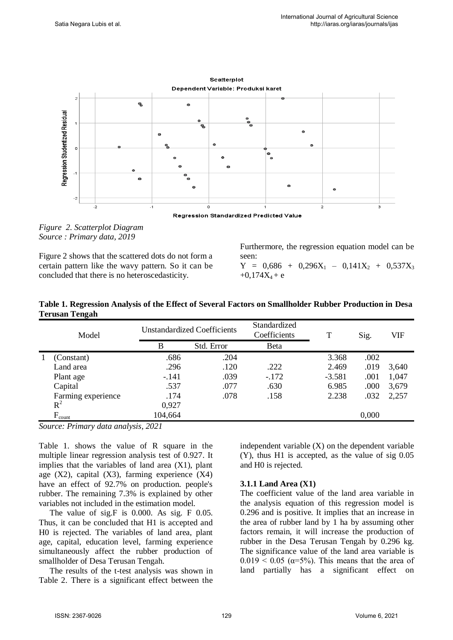

*Figure 2. Scatterplot Diagram Source : Primary data, 2019* 

Figure 2 shows that the scattered dots do not form a certain pattern like the wavy pattern. So it can be concluded that there is no heteroscedasticity.

Furthermore, the regression equation model can be seen:  $Y = 0,686 + 0,296X_1 - 0,141X_2 + 0,537X_3$  $+0.174X_4 + e$ 

| Table 1. Regression Analysis of the Effect of Several Factors on Smallholder Rubber Production in Desa |  |                 |  |  |
|--------------------------------------------------------------------------------------------------------|--|-----------------|--|--|
| <b>Terusan Tengah</b>                                                                                  |  |                 |  |  |
|                                                                                                        |  | $C$ tondondinod |  |  |

| Model |                    | <b>Unstandardized Coefficients</b> |            | Standardized<br>Coefficients | T        | Sig.  | VIF   |
|-------|--------------------|------------------------------------|------------|------------------------------|----------|-------|-------|
|       |                    | B                                  | Std. Error | <b>B</b> eta                 |          |       |       |
|       | (Constant)         | .686                               | .204       |                              | 3.368    | .002  |       |
|       | Land area          | .296                               | .120       | .222                         | 2.469    | .019  | 3,640 |
|       | Plant age          | $-.141$                            | .039       | $-172$                       | $-3.581$ | .001  | 1,047 |
|       | Capital            | .537                               | .077       | .630                         | 6.985    | .000  | 3,679 |
|       | Farming experience | .174                               | .078       | .158                         | 2.238    | .032  | 2,257 |
|       | $R^2$              | 0,927                              |            |                              |          |       |       |
|       | $F_{\text{count}}$ | 104,664                            |            |                              |          | 0,000 |       |

*Source: Primary data analysis, 2021*

Table 1. shows the value of R square in the multiple linear regression analysis test of 0.927. It implies that the variables of land area  $(X1)$ , plant age  $(X2)$ , capital  $(X3)$ , farming experience  $(X4)$ have an effect of 92.7% on production. people's rubber. The remaining 7.3% is explained by other variables not included in the estimation model.

The value of sig.F is 0.000. As sig. F 0.05. Thus, it can be concluded that H1 is accepted and H0 is rejected. The variables of land area, plant age, capital, education level, farming experience simultaneously affect the rubber production of smallholder of Desa Terusan Tengah.

The results of the t-test analysis was shown in Table 2. There is a significant effect between the

independent variable  $(X)$  on the dependent variable (Y), thus H1 is accepted, as the value of sig 0.05 and H0 is rejected.

#### **3.1.1 Land Area (X1)**

The coefficient value of the land area variable in the analysis equation of this regression model is 0.296 and is positive. It implies that an increase in the area of rubber land by 1 ha by assuming other factors remain, it will increase the production of rubber in the Desa Terusan Tengah by 0.296 kg. The significance value of the land area variable is  $0.019 < 0.05$  ( $\alpha = 5\%$ ). This means that the area of land partially has a significant effect on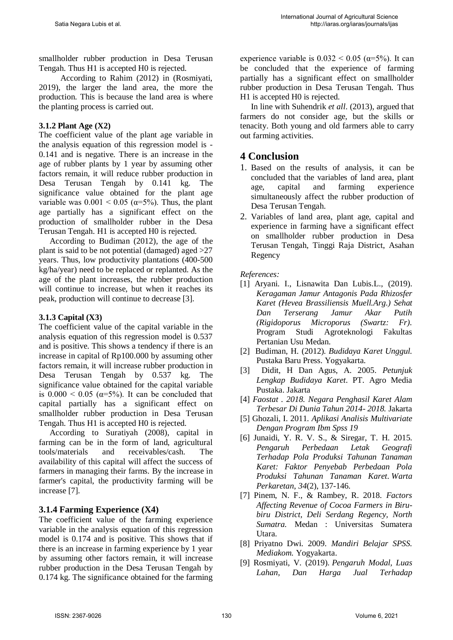smallholder rubber production in Desa Terusan Tengah. Thus H1 is accepted H0 is rejected.

According to Rahim (2012) in (Rosmiyati, 2019), the larger the land area, the more the production. This is because the land area is where the planting process is carried out.

### **3.1.2 Plant Age (X2)**

The coefficient value of the plant age variable in the analysis equation of this regression model is - 0.141 and is negative. There is an increase in the age of rubber plants by 1 year by assuming other factors remain, it will reduce rubber production in Desa Terusan Tengah by 0.141 kg. The significance value obtained for the plant age variable was  $0.001 \le 0.05$  ( $\alpha = 5\%$ ). Thus, the plant age partially has a significant effect on the production of smallholder rubber in the Desa Terusan Tengah. H1 is accepted H0 is rejected.

According to Budiman (2012), the age of the plant is said to be not potential (damaged) aged >27 years. Thus, low productivity plantations (400-500 kg/ha/year) need to be replaced or replanted. As the age of the plant increases, the rubber production will continue to increase, but when it reaches its peak, production will continue to decrease [3].

## **3.1.3 Capital (X3)**

The coefficient value of the capital variable in the analysis equation of this regression model is 0.537 and is positive. This shows a tendency if there is an increase in capital of Rp100.000 by assuming other factors remain, it will increase rubber production in Desa Terusan Tengah by 0.537 kg. The significance value obtained for the capital variable is  $0.000 \le 0.05$  ( $\alpha = 5\%$ ). It can be concluded that capital partially has a significant effect on smallholder rubber production in Desa Terusan Tengah. Thus H1 is accepted H0 is rejected.

 According to Suratiyah (2008), capital in farming can be in the form of land, agricultural tools/materials and receivables/cash. The availability of this capital will affect the success of farmers in managing their farms. By the increase in farmer's capital, the productivity farming will be increase [7].

## **3.1.4 Farming Experience (X4)**

The coefficient value of the farming experience variable in the analysis equation of this regression model is 0.174 and is positive. This shows that if there is an increase in farming experience by 1 year by assuming other factors remain, it will increase rubber production in the Desa Terusan Tengah by 0.174 kg. The significance obtained for the farming experience variable is  $0.032 \le 0.05$  ( $\alpha = 5\%$ ). It can be concluded that the experience of farming partially has a significant effect on smallholder rubber production in Desa Terusan Tengah. Thus H1 is accepted H0 is rejected.

In line with Suhendrik *et all*. (2013), argued that farmers do not consider age, but the skills or tenacity. Both young and old farmers able to carry out farming activities.

# **4 Conclusion**

- 1. Based on the results of analysis, it can be concluded that the variables of land area, plant age, capital and farming experience simultaneously affect the rubber production of Desa Terusan Tengah.
- 2. Variables of land area, plant age, capital and experience in farming have a significant effect on smallholder rubber production in Desa Terusan Tengah, Tinggi Raja District, Asahan Regency

#### *References:*

- [1] Aryani. I., Lisnawita Dan Lubis.L., (2019). *Keragaman Jamur Antagonis Pada Rhizosfer Karet (Hevea Brassiliensis Muell.Arg.) Sehat Dan Terserang Jamur Akar Putih (Rigidoporus Microporus (Swartz: Fr).*  Program Studi Agroteknologi Fakultas Pertanian Usu Medan.
- [2] Budiman, H. (2012). *Budidaya Karet Unggul.* Pustaka Baru Press. Yogyakarta.
- [3] Didit, H Dan Agus, A. 2005. *Petunjuk Lengkap Budidaya Karet*. PT. Agro Media Pustaka. Jakarta
- [4] *Faostat . 2018. Negara Penghasil Karet Alam Terbesar Di Dunia Tahun 2014- 2018.* Jakarta
- [5] Ghozali, I. 2011. *Aplikasi Analisis Multivariate Dengan Program Ibm Spss 19*
- [6] Junaidi, Y. R. V. S., & Siregar, T. H. 2015. *Pengaruh Perbedaan Letak Geografi Terhadap Pola Produksi Tahunan Tanaman Karet: Faktor Penyebab Perbedaan Pola Produksi Tahunan Tanaman Karet*. *Warta Perkaretan*, *34*(2), 137-146.
- [7] Pinem, N. F., & Rambey, R. 2018. *Factors Affecting Revenue of Cocoa Farmers in Birubiru District, Deli Serdang Regency, North Sumatra.* Medan : Universitas Sumatera Utara.
- [8] Priyatno Dwi. 2009. *Mandiri Belajar SPSS. Mediakom.* Yogyakarta.
- [9] Rosmiyati, V. (2019). *Pengaruh Modal, Luas Lahan, Dan Harga Jual Terhadap*